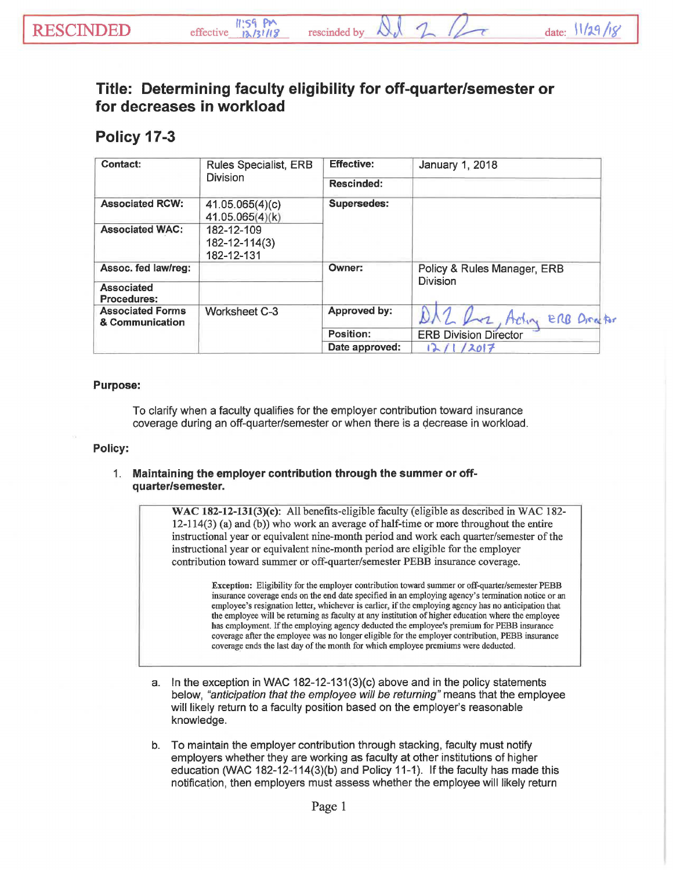## Title: Determining faculty eligibility for off-quarter/semester or for decreases in workload

## Policy 17-3

| Contact:                                   | <b>Rules Specialist, ERB</b><br><b>Division</b> | <b>Effective:</b> | January 1, 2018                         |
|--------------------------------------------|-------------------------------------------------|-------------------|-----------------------------------------|
|                                            |                                                 | <b>Rescinded:</b> |                                         |
| <b>Associated RCW:</b>                     | 41.05.065(4)(c)<br>41.05.065(4)(k)              | Supersedes:       |                                         |
| <b>Associated WAC:</b>                     | 182-12-109<br>$182 - 12 - 114(3)$<br>182-12-131 |                   |                                         |
| Assoc. fed law/reg:                        |                                                 | Owner:            | Policy & Rules Manager, ERB<br>Division |
| Associated<br><b>Procedures:</b>           |                                                 |                   |                                         |
| <b>Associated Forms</b><br>& Communication | Worksheet C-3                                   | Approved by:      | Actin ERB Dreator                       |
|                                            |                                                 | Position:         | <b>ERB Division Director</b>            |
|                                            |                                                 | Date approved:    | 12017<br>12/1                           |

## Purpose:

To clarify when a faculty qualifies for the employer contribution toward insurance coverage during an off-quarter/semester or when there is a decrease in workload.

## Policy:

1. Maintaining the employer contribution through the summer or offquarter/semester.

> WAC  $182-12-131(3)(c)$ : All benefits-eligible faculty (eligible as described in WAC 182-12-114(3) (a) and (b)) who work an average of half-time or more throughout the entire instructional year or equivalent nine-month period and work each quarter/semester of the instructional year or equivalent nine-month period are eligible for the employer contribution toward summer or off-quarter/semester PEBB insurance coverage.

Exception: Eligibility for the employer contribution toward summer or off-quarter/semester PEBB insurance coverage ends on the end date specified in an employing agency's tennination notice or an employee's resignation letter, whichever is earlier, if the employing agency has no anticipation that the employee will be returning as faculty at any institution of higher education where the employee has employment. If the employing agency deducted the employee's premium for PEBB insurance coverage after the employee was no longer eligible for the employer contribution, PEBB insurance coverage ends the last day of the month for which employee premiums were deducted.

- a. In the exception in WAC 182-12-131(3)(c) above and in the policy statements below, *"anticipation that the employee will be returning"* means that the employee will likely return to a faculty position based on the employer's reasonable knowledge.
- b. To maintain the employer contribution through stacking, faculty must notify employers whether they are working as faculty at other institutions of higher education (WAC 182-12-114(3)(b) and Policy 11-1 ). If the faculty has made this notification, then employers must assess whether the employee will likely return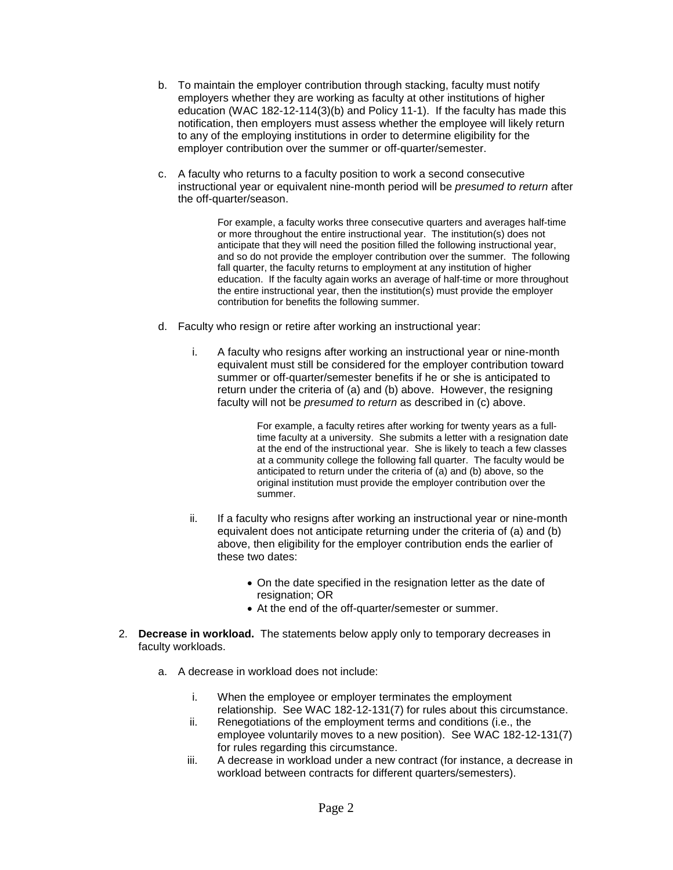- b. To maintain the employer contribution through stacking, faculty must notify employers whether they are working as faculty at other institutions of higher education (WAC 182-12-114(3)(b) and Policy 11-1). If the faculty has made this notification, then employers must assess whether the employee will likely return to any of the employing institutions in order to determine eligibility for the employer contribution over the summer or off-quarter/semester.
- c. A faculty who returns to a faculty position to work a second consecutive instructional year or equivalent nine-month period will be *presumed to return* after the off-quarter/season.

For example, a faculty works three consecutive quarters and averages half-time or more throughout the entire instructional year. The institution(s) does not anticipate that they will need the position filled the following instructional year, and so do not provide the employer contribution over the summer. The following fall quarter, the faculty returns to employment at any institution of higher education. If the faculty again works an average of half-time or more throughout the entire instructional year, then the institution(s) must provide the employer contribution for benefits the following summer.

- d. Faculty who resign or retire after working an instructional year:
	- i. A faculty who resigns after working an instructional year or nine-month equivalent must still be considered for the employer contribution toward summer or off-quarter/semester benefits if he or she is anticipated to return under the criteria of (a) and (b) above. However, the resigning faculty will not be *presumed to return* as described in (c) above.

For example, a faculty retires after working for twenty years as a fulltime faculty at a university. She submits a letter with a resignation date at the end of the instructional year. She is likely to teach a few classes at a community college the following fall quarter. The faculty would be anticipated to return under the criteria of (a) and (b) above, so the original institution must provide the employer contribution over the summer.

- ii. If a faculty who resigns after working an instructional year or nine-month equivalent does not anticipate returning under the criteria of (a) and (b) above, then eligibility for the employer contribution ends the earlier of these two dates:
	- On the date specified in the resignation letter as the date of resignation: OR
	- At the end of the off-quarter/semester or summer.
- 2. **Decrease in workload.** The statements below apply only to temporary decreases in faculty workloads.
	- a. A decrease in workload does not include:
		- i. When the employee or employer terminates the employment relationship. See WAC 182-12-131(7) for rules about this circumstance.
		- ii. Renegotiations of the employment terms and conditions (i.e., the employee voluntarily moves to a new position). See WAC 182-12-131(7) for rules regarding this circumstance.
		- iii. A decrease in workload under a new contract (for instance, a decrease in workload between contracts for different quarters/semesters).